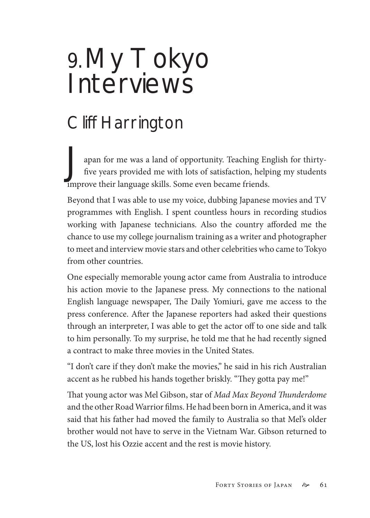## 9.My Tokyo Interviews

## Cliff Harrington

Japan for me was a land of opportunity. Teaching English for thirtyfive years provided me with lots of satisfaction, helping my students improve their language skills. Some even became friends.

Beyond that I was able to use my voice, dubbing Japanese movies and TV programmes with English. I spent countless hours in recording studios working with Japanese technicians. Also the country afforded me the chance to use my college journalism training as a writer and photographer to meet and interview movie stars and other celebrities who came to Tokyo from other countries.

One especially memorable young actor came from Australia to introduce his action movie to the Japanese press. My connections to the national English language newspaper, The Daily Yomiuri, gave me access to the press conference. After the Japanese reporters had asked their questions through an interpreter, I was able to get the actor off to one side and talk to him personally. To my surprise, he told me that he had recently signed a contract to make three movies in the United States.

"I don't care if they don't make the movies," he said in his rich Australian accent as he rubbed his hands together briskly. "They gotta pay me!"

That young actor was Mel Gibson, star of *Mad Max Beyond Thunderdome* and the other Road Warrior films. He had been born in America, and it was said that his father had moved the family to Australia so that Mel's older brother would not have to serve in the Vietnam War. Gibson returned to the US, lost his Ozzie accent and the rest is movie history.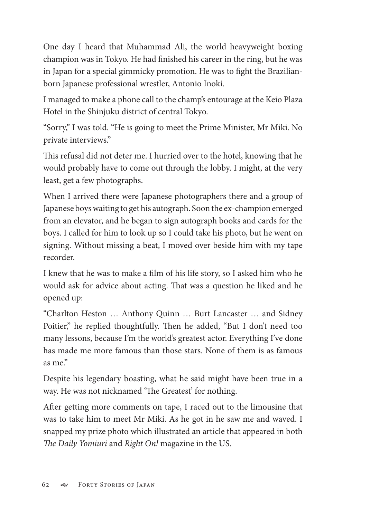One day I heard that Muhammad Ali, the world heavyweight boxing champion was in Tokyo. He had finished his career in the ring, but he was in Japan for a special gimmicky promotion. He was to fight the Brazilianborn Japanese professional wrestler, Antonio Inoki.

I managed to make a phone call to the champ's entourage at the Keio Plaza Hotel in the Shinjuku district of central Tokyo.

"Sorry," I was told. "He is going to meet the Prime Minister, Mr Miki. No private interviews."

This refusal did not deter me. I hurried over to the hotel, knowing that he would probably have to come out through the lobby. I might, at the very least, get a few photographs.

When I arrived there were Japanese photographers there and a group of Japanese boys waiting to get his autograph. Soon the ex-champion emerged from an elevator, and he began to sign autograph books and cards for the boys. I called for him to look up so I could take his photo, but he went on signing. Without missing a beat, I moved over beside him with my tape recorder.

I knew that he was to make a film of his life story, so I asked him who he would ask for advice about acting. That was a question he liked and he opened up:

"Charlton Heston … Anthony Quinn … Burt Lancaster … and Sidney Poitier," he replied thoughtfully. Then he added, "But I don't need too many lessons, because I'm the world's greatest actor. Everything I've done has made me more famous than those stars. None of them is as famous as me"

Despite his legendary boasting, what he said might have been true in a way. He was not nicknamed 'The Greatest' for nothing.

After getting more comments on tape, I raced out to the limousine that was to take him to meet Mr Miki. As he got in he saw me and waved. I snapped my prize photo which illustrated an article that appeared in both *The Daily Yomiuri* and *Right On!* magazine in the US.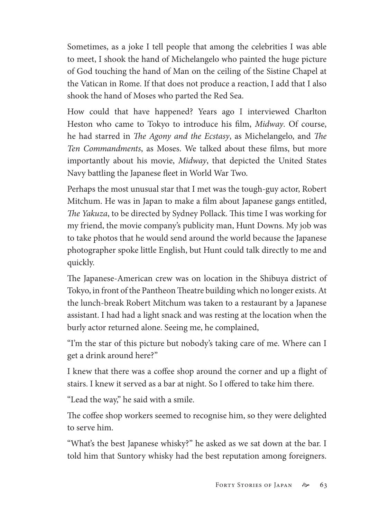Sometimes, as a joke I tell people that among the celebrities I was able to meet, I shook the hand of Michelangelo who painted the huge picture of God touching the hand of Man on the ceiling of the Sistine Chapel at the Vatican in Rome. If that does not produce a reaction, I add that I also shook the hand of Moses who parted the Red Sea.

How could that have happened? Years ago I interviewed Charlton Heston who came to Tokyo to introduce his film, *Midway*. Of course, he had starred in *The Agony and the Ecstasy*, as Michelangelo, and *The Ten Commandments*, as Moses. We talked about these films, but more importantly about his movie, *Midway*, that depicted the United States Navy battling the Japanese fleet in World War Two.

Perhaps the most unusual star that I met was the tough-guy actor, Robert Mitchum. He was in Japan to make a film about Japanese gangs entitled, *The Yakuza*, to be directed by Sydney Pollack. This time I was working for my friend, the movie company's publicity man, Hunt Downs. My job was to take photos that he would send around the world because the Japanese photographer spoke little English, but Hunt could talk directly to me and quickly.

The Japanese-American crew was on location in the Shibuya district of Tokyo, in front of the Pantheon Theatre building which no longer exists. At the lunch-break Robert Mitchum was taken to a restaurant by a Japanese assistant. I had had a light snack and was resting at the location when the burly actor returned alone. Seeing me, he complained,

"I'm the star of this picture but nobody's taking care of me. Where can I get a drink around here?"

I knew that there was a coffee shop around the corner and up a flight of stairs. I knew it served as a bar at night. So I offered to take him there.

"Lead the way," he said with a smile.

The coffee shop workers seemed to recognise him, so they were delighted to serve him.

"What's the best Japanese whisky?" he asked as we sat down at the bar. I told him that Suntory whisky had the best reputation among foreigners.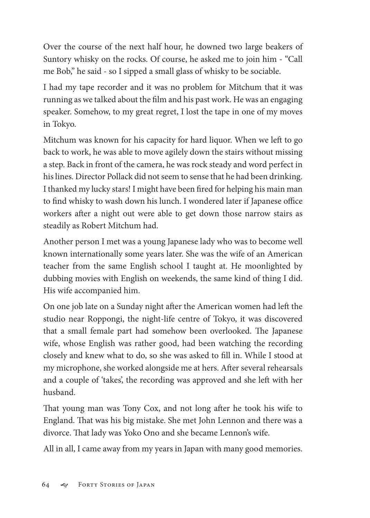Over the course of the next half hour, he downed two large beakers of Suntory whisky on the rocks. Of course, he asked me to join him - "Call me Bob," he said - so I sipped a small glass of whisky to be sociable.

I had my tape recorder and it was no problem for Mitchum that it was running as we talked about the film and his past work. He was an engaging speaker. Somehow, to my great regret, I lost the tape in one of my moves in Tokyo.

Mitchum was known for his capacity for hard liquor. When we left to go back to work, he was able to move agilely down the stairs without missing a step. Back in front of the camera, he was rock steady and word perfect in his lines. Director Pollack did not seem to sense that he had been drinking. I thanked my lucky stars! I might have been fired for helping his main man to find whisky to wash down his lunch. I wondered later if Japanese office workers after a night out were able to get down those narrow stairs as steadily as Robert Mitchum had.

Another person I met was a young Japanese lady who was to become well known internationally some years later. She was the wife of an American teacher from the same English school I taught at. He moonlighted by dubbing movies with English on weekends, the same kind of thing I did. His wife accompanied him.

On one job late on a Sunday night after the American women had left the studio near Roppongi, the night-life centre of Tokyo, it was discovered that a small female part had somehow been overlooked. The Japanese wife, whose English was rather good, had been watching the recording closely and knew what to do, so she was asked to fill in. While I stood at my microphone, she worked alongside me at hers. After several rehearsals and a couple of 'takes', the recording was approved and she left with her husband.

That young man was Tony Cox, and not long after he took his wife to England. That was his big mistake. She met John Lennon and there was a divorce. That lady was Yoko Ono and she became Lennon's wife.

All in all, I came away from my years in Japan with many good memories.